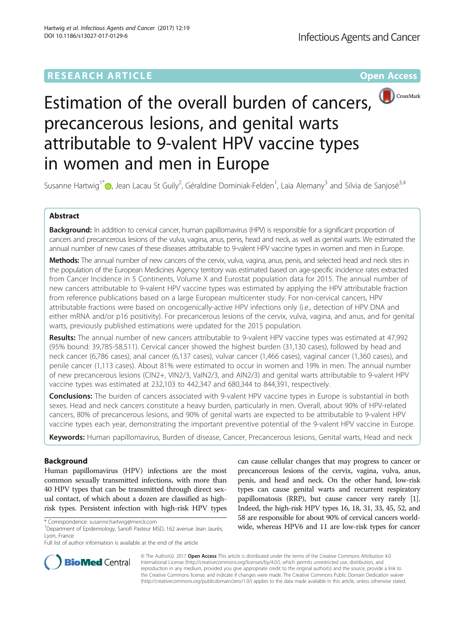## **RESEARCH ARTICLE External Structure Community Community Community Community Community Community Community Community**



# Estimation of the overall burden of cancers, precancerous lesions, and genital warts attributable to 9-valent HPV vaccine types in women and men in Europe

Susanne Hartwig<sup>1[\\*](http://orcid.org/0000-0002-7879-0052)</sup>®, Jean Lacau St Guily<sup>2</sup>, Géraldine Dominiak-Felden<sup>1</sup>, Laia Alemany<sup>3</sup> and Silvia de Sanjosé<sup>3,4</sup>

## Abstract

Background: In addition to cervical cancer, human papillomavirus (HPV) is responsible for a significant proportion of cancers and precancerous lesions of the vulva, vagina, anus, penis, head and neck, as well as genital warts. We estimated the annual number of new cases of these diseases attributable to 9-valent HPV vaccine types in women and men in Europe.

Methods: The annual number of new cancers of the cervix, vulva, vagina, anus, penis, and selected head and neck sites in the population of the European Medicines Agency territory was estimated based on age-specific incidence rates extracted from Cancer Incidence in 5 Continents, Volume X and Eurostat population data for 2015. The annual number of new cancers attributable to 9-valent HPV vaccine types was estimated by applying the HPV attributable fraction from reference publications based on a large European multicenter study. For non-cervical cancers, HPV attributable fractions were based on oncogenically-active HPV infections only (i.e., detection of HPV DNA and either mRNA and/or p16 positivity). For precancerous lesions of the cervix, vulva, vagina, and anus, and for genital warts, previously published estimations were updated for the 2015 population.

Results: The annual number of new cancers attributable to 9-valent HPV vaccine types was estimated at 47,992 (95% bound: 39,785-58,511). Cervical cancer showed the highest burden (31,130 cases), followed by head and neck cancer (6,786 cases), anal cancer (6,137 cases), vulvar cancer (1,466 cases), vaginal cancer (1,360 cases), and penile cancer (1,113 cases). About 81% were estimated to occur in women and 19% in men. The annual number of new precancerous lesions (CIN2+, VIN2/3, VaIN2/3, and AIN2/3) and genital warts attributable to 9-valent HPV vaccine types was estimated at 232,103 to 442,347 and 680,344 to 844,391, respectively.

**Conclusions:** The burden of cancers associated with 9-valent HPV vaccine types in Europe is substantial in both sexes. Head and neck cancers constitute a heavy burden, particularly in men. Overall, about 90% of HPV-related cancers, 80% of precancerous lesions, and 90% of genital warts are expected to be attributable to 9-valent HPV vaccine types each year, demonstrating the important preventive potential of the 9-valent HPV vaccine in Europe.

Keywords: Human papillomavirus, Burden of disease, Cancer, Precancerous lesions, Genital warts, Head and neck

## Background

Human papillomavirus (HPV) infections are the most common sexually transmitted infections, with more than 40 HPV types that can be transmitted through direct sexual contact, of which about a dozen are classified as highrisk types. Persistent infection with high-risk HPV types

can cause cellular changes that may progress to cancer or precancerous lesions of the cervix, vagina, vulva, anus, penis, and head and neck. On the other hand, low-risk types can cause genital warts and recurrent respiratory papillomatosis (RRP), but cause cancer very rarely [[1](#page-8-0)]. Indeed, the high-risk HPV types 16, 18, 31, 33, 45, 52, and 58 are responsible for about 90% of cervical cancers worldwide, whereas HPV6 and 11 are low-risk types for cancer \* Correspondence: [susanne.hartwig@merck.com](mailto:susanne.hartwig@merck.com) <sup>1</sup>



© The Author(s). 2017 **Open Access** This article is distributed under the terms of the Creative Commons Attribution 4.0 International License [\(http://creativecommons.org/licenses/by/4.0/](http://creativecommons.org/licenses/by/4.0/)), which permits unrestricted use, distribution, and reproduction in any medium, provided you give appropriate credit to the original author(s) and the source, provide a link to the Creative Commons license, and indicate if changes were made. The Creative Commons Public Domain Dedication waiver [\(http://creativecommons.org/publicdomain/zero/1.0/](http://creativecommons.org/publicdomain/zero/1.0/)) applies to the data made available in this article, unless otherwise stated.

<sup>&</sup>lt;sup>1</sup>Department of Epidemiology, Sanofi Pasteur MSD, 162 avenue Jean Jaurès, Lyon, France

Full list of author information is available at the end of the article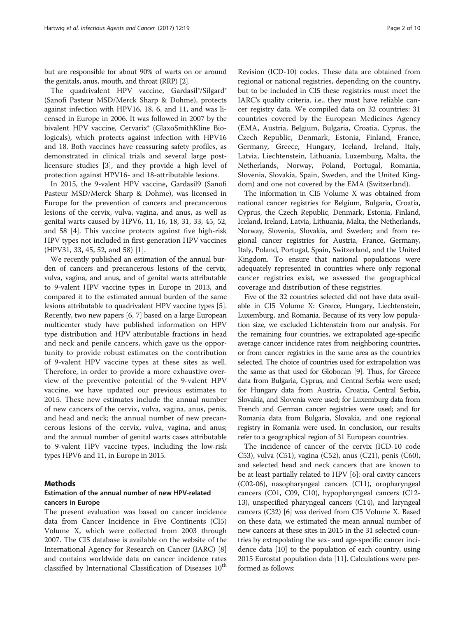but are responsible for about 90% of warts on or around the genitals, anus, mouth, and throat (RRP) [\[2\]](#page-8-0).

The quadrivalent HPV vaccine, Gardasil®/Silgard® (Sanofi Pasteur MSD/Merck Sharp & Dohme), protects against infection with HPV16, 18, 6, and 11, and was licensed in Europe in 2006. It was followed in 2007 by the bivalent HPV vaccine, Cervarix® (GlaxoSmithKline Biologicals), which protects against infection with HPV16 and 18. Both vaccines have reassuring safety profiles, as demonstrated in clinical trials and several large postlicensure studies [\[3](#page-8-0)], and they provide a high level of protection against HPV16- and 18-attributable lesions.

In 2015, the 9-valent HPV vaccine, Gardasil9 (Sanofi Pasteur MSD/Merck Sharp & Dohme), was licensed in Europe for the prevention of cancers and precancerous lesions of the cervix, vulva, vagina, and anus, as well as genital warts caused by HPV6, 11, 16, 18, 31, 33, 45, 52, and 58 [\[4](#page-8-0)]. This vaccine protects against five high-risk HPV types not included in first-generation HPV vaccines (HPV31, 33, 45, 52, and 58) [\[1](#page-8-0)].

We recently published an estimation of the annual burden of cancers and precancerous lesions of the cervix, vulva, vagina, and anus, and of genital warts attributable to 9-valent HPV vaccine types in Europe in 2013, and compared it to the estimated annual burden of the same lesions attributable to quadrivalent HPV vaccine types [[5](#page-8-0)]. Recently, two new papers [\[6](#page-8-0), [7\]](#page-8-0) based on a large European multicenter study have published information on HPV type distribution and HPV attributable fractions in head and neck and penile cancers, which gave us the opportunity to provide robust estimates on the contribution of 9-valent HPV vaccine types at these sites as well. Therefore, in order to provide a more exhaustive overview of the preventive potential of the 9-valent HPV vaccine, we have updated our previous estimates to 2015. These new estimates include the annual number of new cancers of the cervix, vulva, vagina, anus, penis, and head and neck; the annual number of new precancerous lesions of the cervix, vulva, vagina, and anus; and the annual number of genital warts cases attributable to 9-valent HPV vaccine types, including the low-risk types HPV6 and 11, in Europe in 2015.

## Methods

## Estimation of the annual number of new HPV-related cancers in Europe

The present evaluation was based on cancer incidence data from Cancer Incidence in Five Continents (CI5) Volume X, which were collected from 2003 through 2007. The CI5 database is available on the website of the International Agency for Research on Cancer (IARC) [\[8](#page-8-0)] and contains worldwide data on cancer incidence rates classified by International Classification of Diseases 10<sup>th</sup>

Revision (ICD-10) codes. These data are obtained from regional or national registries, depending on the country, but to be included in CI5 these registries must meet the IARC's quality criteria, i.e., they must have reliable cancer registry data. We compiled data on 32 countries: 31 countries covered by the European Medicines Agency (EMA, Austria, Belgium, Bulgaria, Croatia, Cyprus, the Czech Republic, Denmark, Estonia, Finland, France, Germany, Greece, Hungary, Iceland, Ireland, Italy, Latvia, Liechtenstein, Lithuania, Luxemburg, Malta, the Netherlands, Norway, Poland, Portugal, Romania, Slovenia, Slovakia, Spain, Sweden, and the United Kingdom) and one not covered by the EMA (Switzerland).

The information in CI5 Volume X was obtained from national cancer registries for Belgium, Bulgaria, Croatia, Cyprus, the Czech Republic, Denmark, Estonia, Finland, Iceland, Ireland, Latvia, Lithuania, Malta, the Netherlands, Norway, Slovenia, Slovakia, and Sweden; and from regional cancer registries for Austria, France, Germany, Italy, Poland, Portugal, Spain, Switzerland, and the United Kingdom. To ensure that national populations were adequately represented in countries where only regional cancer registries exist, we assessed the geographical coverage and distribution of these registries.

Five of the 32 countries selected did not have data available in CI5 Volume X: Greece, Hungary, Liechtenstein, Luxemburg, and Romania. Because of its very low population size, we excluded Lichtenstein from our analysis. For the remaining four countries, we extrapolated age-specific average cancer incidence rates from neighboring countries, or from cancer registries in the same area as the countries selected. The choice of countries used for extrapolation was the same as that used for Globocan [[9](#page-8-0)]. Thus, for Greece data from Bulgaria, Cyprus, and Central Serbia were used; for Hungary data from Austria, Croatia, Central Serbia, Slovakia, and Slovenia were used; for Luxemburg data from French and German cancer registries were used; and for Romania data from Bulgaria, Slovakia, and one regional registry in Romania were used. In conclusion, our results refer to a geographical region of 31 European countries.

The incidence of cancer of the cervix (ICD-10 code C53), vulva (C51), vagina (C52), anus (C21), penis (C60), and selected head and neck cancers that are known to be at least partially related to HPV [\[6](#page-8-0)]: oral cavity cancers (C02-06), nasopharyngeal cancers (C11), oropharyngeal cancers (C01, C09, C10), hypopharyngeal cancers (C12- 13), unspecified pharyngeal cancers (C14), and laryngeal cancers (C32) [\[6](#page-8-0)] was derived from CI5 Volume X. Based on these data, we estimated the mean annual number of new cancers at these sites in 2015 in the 31 selected countries by extrapolating the sex- and age-specific cancer incidence data [\[10](#page-8-0)] to the population of each country, using 2015 Eurostat population data [\[11\]](#page-8-0). Calculations were performed as follows: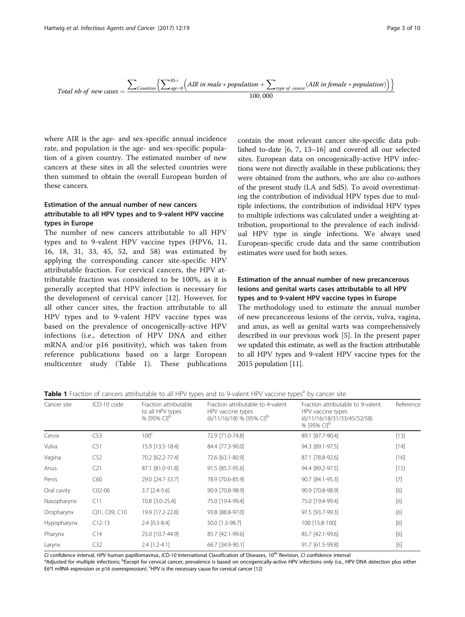Total nb of new cases = 
$$
\frac{\sum_{Counter} \left\{ \sum_{age=0}^{85+} \left( AIR \text{ in male} * population + \sum_{type \text{ of cancer}} (AIR \text{ in female} * population) \right) \right\}}{100,000}
$$

where AIR is the age- and sex-specific annual incidence rate, and population is the age- and sex-specific population of a given country. The estimated number of new cancers at these sites in all the selected countries were then summed to obtain the overall European burden of these cancers.

## Estimation of the annual number of new cancers attributable to all HPV types and to 9-valent HPV vaccine types in Europe

The number of new cancers attributable to all HPV types and to 9-valent HPV vaccine types (HPV6, 11, 16, 18, 31, 33, 45, 52, and 58) was estimated by applying the corresponding cancer site-specific HPV attributable fraction. For cervical cancers, the HPV attributable fraction was considered to be 100%, as it is generally accepted that HPV infection is necessary for the development of cervical cancer [[12\]](#page-8-0). However, for all other cancer sites, the fraction attributable to all HPV types and to 9-valent HPV vaccine types was based on the prevalence of oncogenically-active HPV infections (i.e., detection of HPV DNA and either mRNA and/or p16 positivity), which was taken from reference publications based on a large European multicenter study (Table 1). These publications

contain the most relevant cancer site-specific data published to-date [[6](#page-8-0), [7](#page-8-0), [13](#page-8-0)–[16\]](#page-8-0) and covered all our selected sites. European data on oncogenically-active HPV infections were not directly available in these publications; they were obtained from the authors, who are also co-authors of the present study (LA and SdS). To avoid overestimating the contribution of individual HPV types due to multiple infections, the contribution of individual HPV types to multiple infections was calculated under a weighting attribution, proportional to the prevalence of each individual HPV type in single infections. We always used European-specific crude data and the same contribution estimates were used for both sexes.

## Estimation of the annual number of new precancerous lesions and genital warts cases attributable to all HPV types and to 9-valent HPV vaccine types in Europe

The methodology used to estimate the annual number of new precancerous lesions of the cervix, vulva, vagina, and anus, as well as genital warts was comprehensively described in our previous work [[5](#page-8-0)]. In the present paper we updated this estimate, as well as the fraction attributable to all HPV types and 9-valent HPV vaccine types for the 2015 population [\[11](#page-8-0)].

| Cancer site | ICD-10 code     | Fraction attributable<br>to all HPV types<br>% [95% CI] <sup>b</sup> | Fraction attributable to 4-valent<br>HPV vaccine types<br>(6/11/16/18) % [95% CI] <sup>b</sup> | Fraction attributable to 9-valent<br>HPV vaccine types<br>(6/11/16/18/31/33/45/52/58)<br>% [95% CI] <sup>b</sup> | Reference |
|-------------|-----------------|----------------------------------------------------------------------|------------------------------------------------------------------------------------------------|------------------------------------------------------------------------------------------------------------------|-----------|
| Cervix      | C53             | 100 <sup>c</sup>                                                     | 72.9 [71.0-74.8]                                                                               | 89.1 [87.7-90.4]                                                                                                 | $[13]$    |
| Vulva       | C51             | 15.9 [13.5-18.4]                                                     | 84.4 [77.3-90.0]                                                                               | 94.3 [89.1-97.5]                                                                                                 | $[14]$    |
| Vagina      | C52             | 70.2 [62.2-77.4]                                                     | 72.6 [63.1-80.9]                                                                               | 87.1 [78.8-92.6]                                                                                                 | $[16]$    |
| Anus        | C <sub>21</sub> | 87.1 [81.0-91.8]                                                     | 91.5 [85.7-95.6]                                                                               | 94.4 [89.2-97.5]                                                                                                 | $[15]$    |
| Penis       | C60             | 29.0 [24.7-33.7]                                                     | 78.9 [70.6-85.9]                                                                               | 90.7 [84.1-95.3]                                                                                                 | $[7]$     |
| Oral cavity | $CO2-06$        | $3.7$ [2.4-5.6]                                                      | 90.9 [70.8-98.9]                                                                               | 90.9 [70.8-98.9]                                                                                                 | [6]       |
| Nasopharynx | C11             | 10.8 [3.0-25.4]                                                      | 75.0 [19.4-99.4]                                                                               | 75.0 [19.4-99.4]                                                                                                 | $[6]$     |
| Oropharynx  | C01, C09, C10   | 19.9 [17.2-22.8]                                                     | 93.8 [88.8-97.0]                                                                               | 97.5 [93.7-99.3]                                                                                                 | [6]       |
| Hypopharynx | $C12-13$        | $2.4$ [0.3-8.4]                                                      | 50.0 [1.3-98.7]                                                                                | 100 [15.8-100]                                                                                                   | $[6]$     |
| Pharynx     | C14             | 25.0 [10.7-44.9]                                                     | 85.7 [42.1-99.6]                                                                               | 85.7 [42.1-99.6]                                                                                                 | [6]       |
| Larynx      | C32             | $2.4$ [1.2-4.1]                                                      | 66.7 [34.9-90.1]                                                                               | 91.7 [61.5-99.8]                                                                                                 | [6]       |

Table 1 Fraction of cancers attributable to all HPV types and to 9-valent HPV vaccine types<sup>a</sup> by cancer site

CI confidence interval, HPV human papillomavirus, ICD-10 International Classification of Diseases, 10<sup>th</sup> Revision, CI confidence interval

Adjusted for multiple infections; <sup>b</sup>Except for cervical cancer, prevalence is based on oncogenically-active HPV infections only (i.e., HPV DNA detection plus either E6\*I mRNA expression or p16 overexpression). 'HPV is the necessary cause for cervical cancer [\[12](#page-8-0)]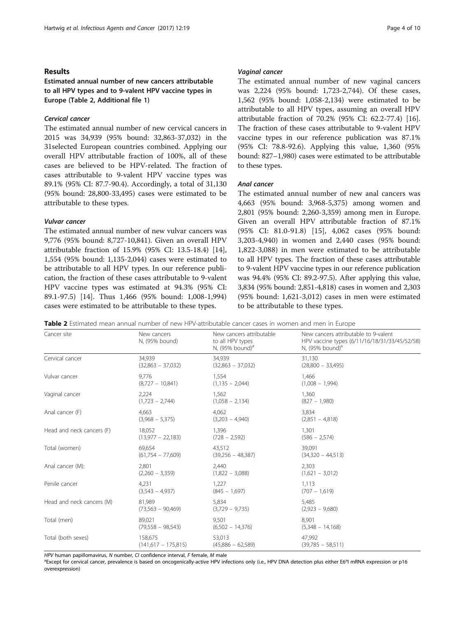## <span id="page-3-0"></span>Results

Estimated annual number of new cancers attributable to all HPV types and to 9-valent HPV vaccine types in Europe (Table 2, Additional file [1\)](#page-8-0)

## Cervical cancer

The estimated annual number of new cervical cancers in 2015 was 34,939 (95% bound: 32,863-37,032) in the 31selected European countries combined. Applying our overall HPV attributable fraction of 100%, all of these cases are believed to be HPV-related. The fraction of cases attributable to 9-valent HPV vaccine types was 89.1% (95% CI: 87.7-90.4). Accordingly, a total of 31,130 (95% bound: 28,800-33,495) cases were estimated to be attributable to these types.

## Vulvar cancer

The estimated annual number of new vulvar cancers was 9,776 (95% bound: 8,727-10,841). Given an overall HPV attributable fraction of 15.9% (95% CI: 13.5-18.4) [\[14](#page-8-0)], 1,554 (95% bound: 1,135-2,044) cases were estimated to be attributable to all HPV types. In our reference publication, the fraction of these cases attributable to 9-valent HPV vaccine types was estimated at 94.3% (95% CI: 89.1-97.5) [[14\]](#page-8-0). Thus 1,466 (95% bound: 1,008-1,994) cases were estimated to be attributable to these types.

#### Vaginal cancer

The estimated annual number of new vaginal cancers was 2,224 (95% bound: 1,723-2,744). Of these cases, 1,562 (95% bound: 1,058-2,134) were estimated to be attributable to all HPV types, assuming an overall HPV attributable fraction of 70.2% (95% CI: 62.2-77.4) [\[16](#page-8-0)]. The fraction of these cases attributable to 9-valent HPV vaccine types in our reference publication was 87.1% (95% CI: 78.8-92.6). Applying this value, 1,360 (95% bound: 827–1,980) cases were estimated to be attributable to these types.

#### Anal cancer

The estimated annual number of new anal cancers was 4,663 (95% bound: 3,968-5,375) among women and 2,801 (95% bound: 2,260-3,359) among men in Europe. Given an overall HPV attributable fraction of 87.1% (95% CI: 81.0-91.8) [[15\]](#page-8-0), 4,062 cases (95% bound: 3,203-4,940) in women and 2,440 cases (95% bound: 1,822-3,088) in men were estimated to be attributable to all HPV types. The fraction of these cases attributable to 9-valent HPV vaccine types in our reference publication was 94.4% (95% CI: 89.2-97.5). After applying this value, 3,834 (95% bound: 2,851-4,818) cases in women and 2,303 (95% bound: 1,621-3,012) cases in men were estimated to be attributable to these types.

Table 2 Estimated mean annual number of new HPV-attributable cancer cases in women and men in Europe

| Cancer site               | New cancers<br>N, (95% bound) | New cancers attributable<br>to all HPV types<br>N, (95% bound) <sup>a</sup> | New cancers attributable to 9-valent<br>HPV vaccine types (6/11/16/18/31/33/45/52/58)<br>N, (95% bound) <sup>a</sup> |
|---------------------------|-------------------------------|-----------------------------------------------------------------------------|----------------------------------------------------------------------------------------------------------------------|
| Cervical cancer           | 34.939                        | 34,939                                                                      | 31,130                                                                                                               |
|                           | $(32,863 - 37,032)$           | $(32,863 - 37,032)$                                                         | $(28,800 - 33,495)$                                                                                                  |
| Vulvar cancer             | 9.776                         | 1,554                                                                       | 1.466                                                                                                                |
|                           | $(8,727 - 10,841)$            | $(1, 135 - 2, 044)$                                                         | $(1,008 - 1,994)$                                                                                                    |
| Vaginal cancer            | 2.224                         | 1,562                                                                       | 1.360                                                                                                                |
|                           | $(1,723 - 2,744)$             | $(1,058 - 2,134)$                                                           | $(827 - 1,980)$                                                                                                      |
| Anal cancer (F)           | 4.663                         | 4.062                                                                       | 3.834                                                                                                                |
|                           | $(3,968 - 5,375)$             | $(3,203 - 4,940)$                                                           | $(2,851 - 4,818)$                                                                                                    |
| Head and neck cancers (F) | 18,052                        | 1,396                                                                       | 1,301                                                                                                                |
|                           | $(13,977 - 22,183)$           | $(728 - 2,592)$                                                             | $(586 - 2,574)$                                                                                                      |
| Total (women)             | 69.654                        | 43,512                                                                      | 39,091                                                                                                               |
|                           | $(61,754 - 77,609)$           | $(39,256 - 48,387)$                                                         | $(34,320 - 44,513)$                                                                                                  |
| Anal cancer (M):          | 2.801                         | 2,440                                                                       | 2,303                                                                                                                |
|                           | $(2,260 - 3,359)$             | $(1,822 - 3,088)$                                                           | $(1,621 - 3,012)$                                                                                                    |
| Penile cancer             | 4,231                         | 1,227                                                                       | 1.113                                                                                                                |
|                           | $(3,543 - 4,937)$             | $(845 - 1,697)$                                                             | $(707 - 1,619)$                                                                                                      |
| Head and neck cancers (M) | 81.989                        | 5,834                                                                       | 5,485                                                                                                                |
|                           | $(73,563 - 90,469)$           | $(3,729 - 9,735)$                                                           | $(2,923 - 9,680)$                                                                                                    |
| Total (men)               | 89.021                        | 9.501                                                                       | 8.901                                                                                                                |
|                           | $(79,558 - 98,543)$           | $(6,502 - 14,376)$                                                          | $(5,348 - 14,168)$                                                                                                   |
| Total (both sexes)        | 158,675                       | 53,013                                                                      | 47.992                                                                                                               |
|                           | $(141,617 - 175,815)$         | $(45,886 - 62,589)$                                                         | $(39,785 - 58,511)$                                                                                                  |

HPV human papillomavirus, N number, CI confidence interval, F female, M male

Except for cervical cancer, prevalence is based on oncogenically-active HPV infections only (i.e., HPV DNA detection plus either E6<sup>a</sup>l mRNA expression or p16 overexpression)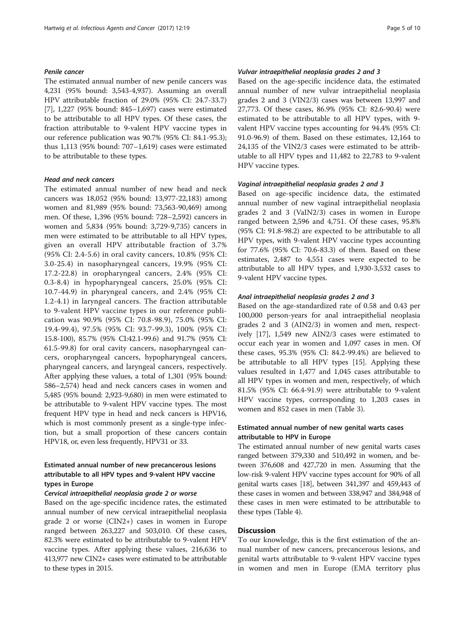## Penile cancer

The estimated annual number of new penile cancers was 4,231 (95% bound: 3,543-4,937). Assuming an overall HPV attributable fraction of 29.0% (95% CI: 24.7-33.7) [[7\]](#page-8-0), 1,227 (95% bound: 845–1,697) cases were estimated to be attributable to all HPV types. Of these cases, the fraction attributable to 9-valent HPV vaccine types in our reference publication was 90.7% (95% CI: 84.1-95.3); thus 1,113 (95% bound: 707–1,619) cases were estimated to be attributable to these types.

#### Head and neck cancers

The estimated annual number of new head and neck cancers was 18,052 (95% bound: 13,977-22,183) among women and 81,989 (95% bound: 73,563-90,469) among men. Of these, 1,396 (95% bound: 728–2,592) cancers in women and 5,834 (95% bound: 3,729-9,735) cancers in men were estimated to be attributable to all HPV types, given an overall HPV attributable fraction of 3.7% (95% CI: 2.4-5.6) in oral cavity cancers, 10.8% (95% CI: 3.0-25.4) in nasopharyngeal cancers, 19.9% (95% CI: 17.2-22.8) in oropharyngeal cancers, 2.4% (95% CI: 0.3-8.4) in hypopharyngeal cancers, 25.0% (95% CI: 10.7-44.9) in pharyngeal cancers, and 2.4% (95% CI: 1.2-4.1) in laryngeal cancers. The fraction attributable to 9-valent HPV vaccine types in our reference publication was 90.9% (95% CI: 70.8-98.9), 75.0% (95% CI: 19.4-99.4), 97.5% (95% CI: 93.7-99.3), 100% (95% CI: 15.8-100), 85.7% (95% CI:42.1-99.6) and 91.7% (95% CI: 61.5-99.8) for oral cavity cancers, nasopharyngeal cancers, oropharyngeal cancers, hypopharyngeal cancers, pharyngeal cancers, and laryngeal cancers, respectively. After applying these values, a total of 1,301 (95% bound: 586–2,574) head and neck cancers cases in women and 5,485 (95% bound: 2,923-9,680) in men were estimated to be attributable to 9-valent HPV vaccine types. The most frequent HPV type in head and neck cancers is HPV16, which is most commonly present as a single-type infection, but a small proportion of these cancers contain HPV18, or, even less frequently, HPV31 or 33.

## Estimated annual number of new precancerous lesions attributable to all HPV types and 9-valent HPV vaccine types in Europe

#### Cervical intraepithelial neoplasia grade 2 or worse

Based on the age-specific incidence rates, the estimated annual number of new cervical intraepithelial neoplasia grade 2 or worse (CIN2+) cases in women in Europe ranged between 263,227 and 503,010. Of these cases, 82.3% were estimated to be attributable to 9-valent HPV vaccine types. After applying these values, 216,636 to 413,977 new CIN2+ cases were estimated to be attributable to these types in 2015.

## Vulvar intraepithelial neoplasia grades 2 and 3

Based on the age-specific incidence data, the estimated annual number of new vulvar intraepithelial neoplasia grades 2 and 3 (VIN2/3) cases was between 13,997 and 27,773. Of these cases, 86.9% (95% CI: 82.6-90.4) were estimated to be attributable to all HPV types, with 9 valent HPV vaccine types accounting for 94.4% (95% CI: 91.0-96.9) of them. Based on these estimates, 12,164 to 24,135 of the VIN2/3 cases were estimated to be attributable to all HPV types and 11,482 to 22,783 to 9-valent HPV vaccine types.

#### Vaginal intraepithelial neoplasia grades 2 and 3

Based on age-specific incidence data, the estimated annual number of new vaginal intraepithelial neoplasia grades 2 and 3 (VaIN2/3) cases in women in Europe ranged between 2,596 and 4,751. Of these cases, 95.8% (95% CI: 91.8-98.2) are expected to be attributable to all HPV types, with 9-valent HPV vaccine types accounting for 77.6% (95% CI: 70.6-83.3) of them. Based on these estimates, 2,487 to 4,551 cases were expected to be attributable to all HPV types, and 1,930-3,532 cases to 9-valent HPV vaccine types.

#### Anal intraepithelial neoplasia grades 2 and 3

Based on the age-standardized rate of 0.58 and 0.43 per 100,000 person-years for anal intraepithelial neoplasia grades 2 and 3 (AIN2/3) in women and men, respectively [\[17](#page-8-0)], 1,549 new AIN2/3 cases were estimated to occur each year in women and 1,097 cases in men. Of these cases, 95.3% (95% CI: 84.2-99.4%) are believed to be attributable to all HPV types [[15\]](#page-8-0). Applying these values resulted in 1,477 and 1,045 cases attributable to all HPV types in women and men, respectively, of which 81.5% (95% CI: 66.4-91.9) were attributable to 9-valent HPV vaccine types, corresponding to 1,203 cases in women and 852 cases in men (Table [3](#page-5-0)).

## Estimated annual number of new genital warts cases attributable to HPV in Europe

The estimated annual number of new genital warts cases ranged between 379,330 and 510,492 in women, and between 376,608 and 427,720 in men. Assuming that the low-risk 9-valent HPV vaccine types account for 90% of all genital warts cases [\[18\]](#page-8-0), between 341,397 and 459,443 of these cases in women and between 338,947 and 384,948 of these cases in men were estimated to be attributable to these types (Table [4](#page-5-0)).

## **Discussion**

To our knowledge, this is the first estimation of the annual number of new cancers, precancerous lesions, and genital warts attributable to 9-valent HPV vaccine types in women and men in Europe (EMA territory plus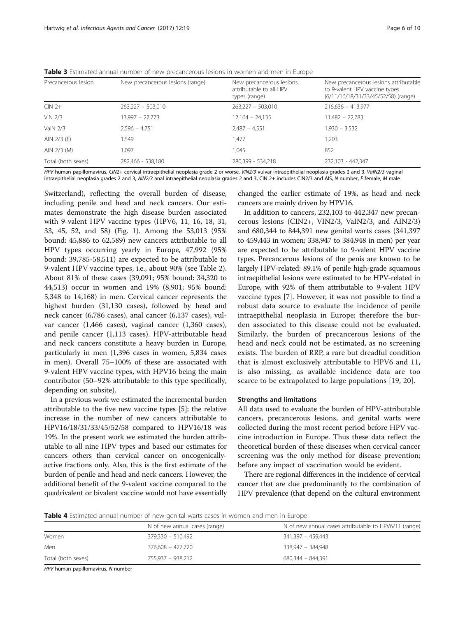| Precancerous lesion | New precancerous lesions (range) | New precancerous lesions<br>attributable to all HPV<br>types (range) | New precancerous lesions attributable<br>to 9-valent HPV vaccine types<br>(6/11/16/18/31/33/45/52/58) (range) |
|---------------------|----------------------------------|----------------------------------------------------------------------|---------------------------------------------------------------------------------------------------------------|
| $CIN$ 2+            | $263,227 - 503,010$              | $263,227 - 503,010$                                                  | $216,636 - 413,977$                                                                                           |
| VIN 2/3             | 13,997 – 27,773                  | $12,164 - 24,135$                                                    | $11,482 - 22,783$                                                                                             |
| ValN 2/3            | $2,596 - 4,751$                  | $2,487 - 4,551$                                                      | $1,930 - 3,532$                                                                                               |
| AIN 2/3 (F)         | 1.549                            | 1,477                                                                | 1.203                                                                                                         |
| AIN 2/3 (M)         | 1.097                            | 1.045                                                                | 852                                                                                                           |
| Total (both sexes)  | 282,466 - 538,180                | 280,399 - 534,218                                                    | 232,103 - 442,347                                                                                             |

<span id="page-5-0"></span>Table 3 Estimated annual number of new precancerous lesions in women and men in Europe

HPV human papillomavirus, CIN2+ cervical intraepithelial neoplasia grade 2 or worse, VIN2/3 vulvar intraepithelial neoplasia grades 2 and 3, VaIN2/3 vaginal intraepithelial neoplasia grades 2 and 3, AIN2/3 anal intraepithelial neoplasia grades 2 and 3, CIN 2+ includes CIN2/3 and AIS, N number, F female, M male

Switzerland), reflecting the overall burden of disease, including penile and head and neck cancers. Our estimates demonstrate the high disease burden associated with 9-valent HPV vaccine types (HPV6, 11, 16, 18, 31, 33, 45, 52, and 58) (Fig. [1\)](#page-6-0). Among the 53,013 (95% bound: 45,886 to 62,589) new cancers attributable to all HPV types occurring yearly in Europe, 47,992 (95% bound: 39,785-58,511) are expected to be attributable to 9-valent HPV vaccine types, i.e., about 90% (see Table [2](#page-3-0)). About 81% of these cases (39,091; 95% bound: 34,320 to 44,513) occur in women and 19% (8,901; 95% bound: 5,348 to 14,168) in men. Cervical cancer represents the highest burden (31,130 cases), followed by head and neck cancer (6,786 cases), anal cancer (6,137 cases), vulvar cancer (1,466 cases), vaginal cancer (1,360 cases), and penile cancer (1,113 cases). HPV-attributable head and neck cancers constitute a heavy burden in Europe, particularly in men (1,396 cases in women, 5,834 cases in men). Overall 75–100% of these are associated with 9-valent HPV vaccine types, with HPV16 being the main contributor (50–92% attributable to this type specifically, depending on subsite).

In a previous work we estimated the incremental burden attributable to the five new vaccine types [[5\]](#page-8-0); the relative increase in the number of new cancers attributable to HPV16/18/31/33/45/52/58 compared to HPV16/18 was 19%. In the present work we estimated the burden attributable to all nine HPV types and based our estimates for cancers others than cervical cancer on oncogenicallyactive fractions only. Also, this is the first estimate of the burden of penile and head and neck cancers. However, the additional benefit of the 9-valent vaccine compared to the quadrivalent or bivalent vaccine would not have essentially changed the earlier estimate of 19%, as head and neck cancers are mainly driven by HPV16.

In addition to cancers, 232,103 to 442,347 new precancerous lesions (CIN2+, VIN2/3, VaIN2/3, and AIN2/3) and 680,344 to 844,391 new genital warts cases (341,397 to 459,443 in women; 338,947 to 384,948 in men) per year are expected to be attributable to 9-valent HPV vaccine types. Precancerous lesions of the penis are known to be largely HPV-related: 89.1% of penile high-grade squamous intraepithelial lesions were estimated to be HPV-related in Europe, with 92% of them attributable to 9-valent HPV vaccine types [\[7](#page-8-0)]. However, it was not possible to find a robust data source to evaluate the incidence of penile intraepithelial neoplasia in Europe; therefore the burden associated to this disease could not be evaluated. Similarly, the burden of precancerous lesions of the head and neck could not be estimated, as no screening exists. The burden of RRP, a rare but dreadful condition that is almost exclusively attributable to HPV6 and 11, is also missing, as available incidence data are too scarce to be extrapolated to large populations [\[19](#page-8-0), [20\]](#page-8-0).

## Strengths and limitations

All data used to evaluate the burden of HPV-attributable cancers, precancerous lesions, and genital warts were collected during the most recent period before HPV vaccine introduction in Europe. Thus these data reflect the theoretical burden of these diseases when cervical cancer screening was the only method for disease prevention; before any impact of vaccination would be evident.

There are regional differences in the incidence of cervical cancer that are due predominantly to the combination of HPV prevalence (that depend on the cultural environment

**Table 4** Estimated annual number of new genital warts cases in women and men in Europe

|                    | N of new annual cases (range) | N of new annual cases attributable to HPV6/11 (range) |
|--------------------|-------------------------------|-------------------------------------------------------|
| Women              | 379,330 - 510,492             | 341.397 - 459.443                                     |
| Men                | 376,608 - 427,720             | 338.947 - 384.948                                     |
| Total (both sexes) | 755,937 - 938,212             | 680,344 - 844,391                                     |

HPV human papillomavirus, N number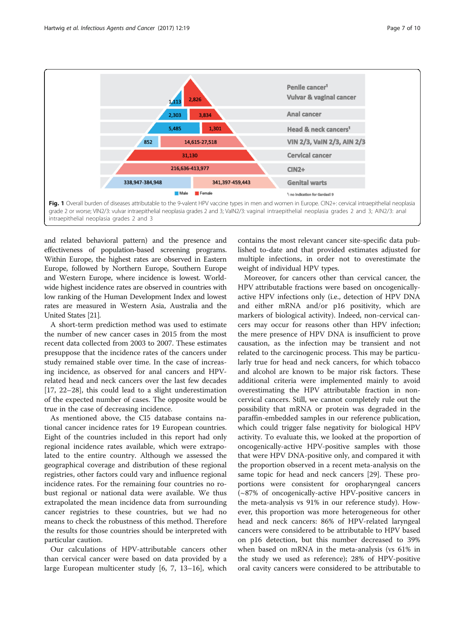<span id="page-6-0"></span>

and related behavioral pattern) and the presence and effectiveness of population-based screening programs. Within Europe, the highest rates are observed in Eastern Europe, followed by Northern Europe, Southern Europe and Western Europe, where incidence is lowest. Worldwide highest incidence rates are observed in countries with low ranking of the Human Development Index and lowest rates are measured in Western Asia, Australia and the United States [\[21\]](#page-9-0).

A short-term prediction method was used to estimate the number of new cancer cases in 2015 from the most recent data collected from 2003 to 2007. These estimates presuppose that the incidence rates of the cancers under study remained stable over time. In the case of increasing incidence, as observed for anal cancers and HPVrelated head and neck cancers over the last few decades [[17,](#page-8-0) [22](#page-9-0)–[28](#page-9-0)], this could lead to a slight underestimation of the expected number of cases. The opposite would be true in the case of decreasing incidence.

As mentioned above, the CI5 database contains national cancer incidence rates for 19 European countries. Eight of the countries included in this report had only regional incidence rates available, which were extrapolated to the entire country. Although we assessed the geographical coverage and distribution of these regional registries, other factors could vary and influence regional incidence rates. For the remaining four countries no robust regional or national data were available. We thus extrapolated the mean incidence data from surrounding cancer registries to these countries, but we had no means to check the robustness of this method. Therefore the results for those countries should be interpreted with particular caution.

Our calculations of HPV-attributable cancers other than cervical cancer were based on data provided by a large European multicenter study [[6, 7, 13](#page-8-0)–[16](#page-8-0)], which

contains the most relevant cancer site-specific data published to-date and that provided estimates adjusted for multiple infections, in order not to overestimate the weight of individual HPV types.

Moreover, for cancers other than cervical cancer, the HPV attributable fractions were based on oncogenicallyactive HPV infections only (i.e., detection of HPV DNA and either mRNA and/or p16 positivity, which are markers of biological activity). Indeed, non-cervical cancers may occur for reasons other than HPV infection; the mere presence of HPV DNA is insufficient to prove causation, as the infection may be transient and not related to the carcinogenic process. This may be particularly true for head and neck cancers, for which tobacco and alcohol are known to be major risk factors. These additional criteria were implemented mainly to avoid overestimating the HPV attributable fraction in noncervical cancers. Still, we cannot completely rule out the possibility that mRNA or protein was degraded in the paraffin-embedded samples in our reference publication, which could trigger false negativity for biological HPV activity. To evaluate this, we looked at the proportion of oncogenically-active HPV-positive samples with those that were HPV DNA-positive only, and compared it with the proportion observed in a recent meta-analysis on the same topic for head and neck cancers [\[29](#page-9-0)]. These proportions were consistent for oropharyngeal cancers (~87% of oncogenically-active HPV-positive cancers in the meta-analysis vs 91% in our reference study). However, this proportion was more heterogeneous for other head and neck cancers: 86% of HPV-related laryngeal cancers were considered to be attributable to HPV based on p16 detection, but this number decreased to 39% when based on mRNA in the meta-analysis (vs 61% in the study we used as reference); 28% of HPV-positive oral cavity cancers were considered to be attributable to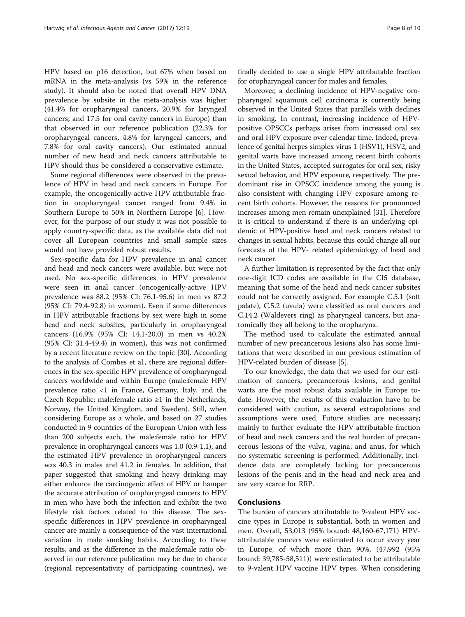HPV based on p16 detection, but 67% when based on mRNA in the meta-analysis (vs 59% in the reference study). It should also be noted that overall HPV DNA prevalence by subsite in the meta-analysis was higher (41.4% for oropharyngeal cancers, 20.9% for laryngeal cancers, and 17.5 for oral cavity cancers in Europe) than that observed in our reference publication (22.3% for oropharyngeal cancers, 4.8% for laryngeal cancers, and 7.8% for oral cavity cancers). Our estimated annual number of new head and neck cancers attributable to HPV should thus be considered a conservative estimate.

Some regional differences were observed in the prevalence of HPV in head and neck cancers in Europe. For example, the oncogenically-active HPV attributable fraction in oropharyngeal cancer ranged from 9.4% in Southern Europe to 50% in Northern Europe [\[6](#page-8-0)]. However, for the purpose of our study it was not possible to apply country-specific data, as the available data did not cover all European countries and small sample sizes would not have provided robust results.

Sex-specific data for HPV prevalence in anal cancer and head and neck cancers were available, but were not used. No sex-specific differences in HPV prevalence were seen in anal cancer (oncogenically-active HPV prevalence was 88.2 (95% CI: 76.1-95.6) in men vs 87.2 (95% CI: 79.4-92.8) in women). Even if some differences in HPV attributable fractions by sex were high in some head and neck subsites, particularly in oropharyngeal cancers (16.9% (95% CI: 14.1-20.0) in men vs 40.2% (95% CI: 31.4-49.4) in women), this was not confirmed by a recent literature review on the topic [\[30\]](#page-9-0). According to the analysis of Combes et al., there are regional differences in the sex-specific HPV prevalence of oropharyngeal cancers worldwide and within Europe (male:female HPV prevalence ratio <1 in France, Germany, Italy, and the Czech Republic; male:female ratio ≥1 in the Netherlands, Norway, the United Kingdom, and Sweden). Still, when considering Europe as a whole, and based on 27 studies conducted in 9 countries of the European Union with less than 200 subjects each, the male:female ratio for HPV prevalence in oropharyngeal cancers was 1.0 (0.9-1.1), and the estimated HPV prevalence in oropharyngeal cancers was 40.3 in males and 41.2 in females. In addition, that paper suggested that smoking and heavy drinking may either enhance the carcinogenic effect of HPV or hamper the accurate attribution of oropharyngeal cancers to HPV in men who have both the infection and exhibit the two lifestyle risk factors related to this disease. The sexspecific differences in HPV prevalence in oropharyngeal cancer are mainly a consequence of the vast international variation in male smoking habits. According to these results, and as the difference in the male:female ratio observed in our reference publication may be due to chance (regional representativity of participating countries), we finally decided to use a single HPV attributable fraction for oropharyngeal cancer for males and females.

Moreover, a declining incidence of HPV-negative oropharyngeal squamous cell carcinoma is currently being observed in the United States that parallels with declines in smoking. In contrast, increasing incidence of HPVpositive OPSCCs perhaps arises from increased oral sex and oral HPV exposure over calendar time. Indeed, prevalence of genital herpes simplex virus 1 (HSV1), HSV2, and genital warts have increased among recent birth cohorts in the United States, accepted surrogates for oral sex, risky sexual behavior, and HPV exposure, respectively. The predominant rise in OPSCC incidence among the young is also consistent with changing HPV exposure among recent birth cohorts. However, the reasons for pronounced increases among men remain unexplained [\[31\]](#page-9-0). Therefore it is critical to understand if there is an underlying epidemic of HPV-positive head and neck cancers related to changes in sexual habits, because this could change all our forecasts of the HPV- related epidemiology of head and neck cancer.

A further limitation is represented by the fact that only one-digit ICD codes are available in the CI5 database, meaning that some of the head and neck cancer subsites could not be correctly assigned. For example C.5.1 (soft palate), C.5.2 (uvula) were classified as oral cancers and C.14.2 (Waldeyers ring) as pharyngeal cancers, but anatomically they all belong to the oropharynx.

The method used to calculate the estimated annual number of new precancerous lesions also has some limitations that were described in our previous estimation of HPV-related burden of disease [\[5](#page-8-0)].

To our knowledge, the data that we used for our estimation of cancers, precancerous lesions, and genital warts are the most robust data available in Europe todate. However, the results of this evaluation have to be considered with caution, as several extrapolations and assumptions were used. Future studies are necessary; mainly to further evaluate the HPV attributable fraction of head and neck cancers and the real burden of precancerous lesions of the vulva, vagina, and anus, for which no systematic screening is performed. Additionally, incidence data are completely lacking for precancerous lesions of the penis and in the head and neck area and are very scarce for RRP.

## Conclusions

The burden of cancers attributable to 9-valent HPV vaccine types in Europe is substantial, both in women and men. Overall, 53,013 (95% bound: 48,160-67,171) HPVattributable cancers were estimated to occur every year in Europe, of which more than 90%, (47,992 (95% bound: 39,785-58,511)) were estimated to be attributable to 9-valent HPV vaccine HPV types. When considering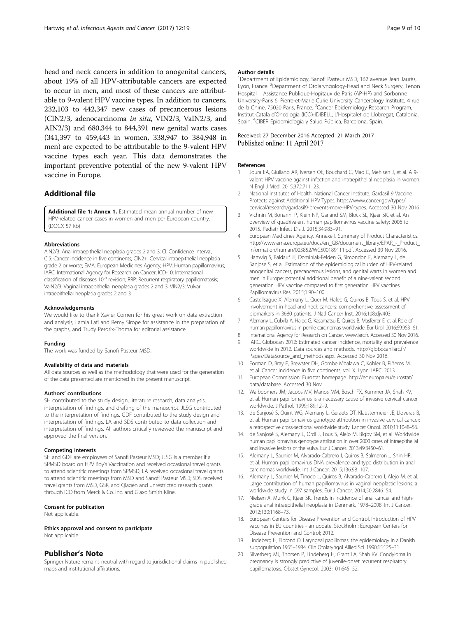<span id="page-8-0"></span>head and neck cancers in addition to anogenital cancers, about 19% of all HPV-attributable cancers are expected to occur in men, and most of these cancers are attributable to 9-valent HPV vaccine types. In addition to cancers, 232,103 to 442,347 new cases of precancerous lesions (CIN2/3, adenocarcinoma in situ, VIN2/3, VaIN2/3, and AIN2/3) and 680,344 to 844,391 new genital warts cases (341,397 to 459,443 in women, 338,947 to 384,948 in men) are expected to be attributable to the 9-valent HPV vaccine types each year. This data demonstrates the important preventive potential of the new 9-valent HPV vaccine in Europe.

## Additional file

[Additional file 1: Annex 1.](dx.doi.org/10.1186/s13027-017-0129-6) Estimated mean annual number of new HPV-related cancer cases in women and men per European country. (DOCX 57 kb)

#### Abbreviations

AIN2/3: Anal intraepithelial neoplasia grades 2 and 3; CI: Confidence interval; CI5: Cancer incidence in five continents; CIN2+: Cervical intraepithelial neoplasia grade 2 or worse; EMA: European Medicines Agency; HPV: Human papillomavirus; IARC: International Agency for Research on Cancer; ICD-10: International classification of diseases 10<sup>th</sup> revision; RRP: Recurrent respiratory papillomatosis; VaIN2/3: Vaginal intraepithelial neoplasia grades 2 and 3; VIN2/3: Vulvar intraepithelial neoplasia grades 2 and 3

#### Acknowledgements

We would like to thank Xavier Cornen for his great work on data extraction and analysis, Lamia Lafi and Remy Sirope for assistance in the preparation of the graphs, and Trudy Perdrix-Thoma for editorial assistance.

#### Funding

The work was funded by Sanofi Pasteur MSD.

#### Availability of data and materials

All data sources as well as the methodology that were used for the generation of the data presented are mentioned in the present manuscript.

#### Authors' contributions

SH contributed to the study design, literature research, data analysis, interpretation of findings, and drafting of the manuscript. JLSG contributed to the interpretation of findings. GDF contributed to the study design and interpretation of findings. LA and SDS contributed to data collection and interpretation of findings. All authors critically reviewed the manuscript and approved the final version.

#### Competing interests

SH and GDF are employees of Sanofi Pasteur MSD; JLSG is a member if a SPMSD board on HPV Boy's Vaccination and received occasional travel grants to attend scientific meetings from SPMSD; LA received occasional travel grants to attend scientific meetings from MSD and Sanofi Pasteur MSD; SDS received travel grants from MSD, GSK, and Qiagen and unrestricted research grants through ICO from Merck & Co. Inc. and Glaxo Smith Kline.

#### Consent for publication

Not applicable.

Ethics approval and consent to participate Not applicable.

#### Publisher's Note

Springer Nature remains neutral with regard to jurisdictional claims in published maps and institutional affiliations.

#### Author details

<sup>1</sup>Department of Epidemiology, Sanofi Pasteur MSD, 162 avenue Jean Jaurès Lyon, France. <sup>2</sup>Department of Otolaryngology-Head and Neck Surgery, Tenon Hospital – Assistance Publique-Hopitaux de Paris (AP-HP) and Sorbonne University-Paris 6, Pierre-et-Marie Curie University Cancerology Institute, 4 rue de la Chine, 75020 Paris, France. <sup>3</sup> Cancer Epidemiology Research Program, Institut Català d'Oncologia (ICO)-IDIBELL, L'Hospitalet de Llobregat, Catalonia, Spain. <sup>4</sup> CIBER Epidemiologia y Salud Pública, Barcelona, Spain.

#### Received: 27 December 2016 Accepted: 21 March 2017 Published online: 11 April 2017

#### References

- Joura EA, Giuliano AR, Iversen OE, Bouchard C, Mao C, Mehlsen J, et al. A 9valent HPV vaccine against infection and intraepithelial neoplasia in women. N Engl J Med. 2015;372:711–23.
- 2. National Institutes of Health, National Cancer Institute. Gardasil 9 Vaccine Protects against Additional HPV Types. [https://www.cancer.gov/types/](https://www.cancer.gov/types/cervical/research/gardasil9-prevents-more-HPV-types) [cervical/research/gardasil9-prevents-more-HPV-types.](https://www.cancer.gov/types/cervical/research/gardasil9-prevents-more-HPV-types) Accessed 30 Nov 2016
- 3. Vichnin M, Bonanni P, Klein NP, Garland SM, Block SL, Kjaer SK, et al. An overview of quadrivalent human papillomavirus vaccine safety: 2006 to 2015. Pediatr Infect Dis J. 2015;34:983–91.
- 4. European Medicines Agency. Annexe I. Summary of Product Characteristics. http://www.ema.europa.eu/docs/en\_GB/document\_library/EPAR\_-\_Product [Information/human/003852/WC500189111.pdf](http://www.ema.europa.eu/docs/en_GB/document_library/EPAR_-_Product_Information/human/003852/WC500189111.pdf). Accessed 30 Nov 2016.
- 5. Hartwig S, Baldauf JJ, Dominiak-Felden G, Simondon F, Alemany L, de Sanjose S, et al. Estimation of the epidemiological burden of HPV-related anogenital cancers, precancerous lesions, and genital warts in women and men in Europe: potential additional benefit of a nine-valent second generation HPV vaccine compared to first generation HPV vaccines. Papillomavirus Res. 2015;1:90–100.
- 6. Castellsague X, Alemany L, Quer M, Halec G, Quiros B, Tous S, et al. HPV involvement in head and neck cancers: comprehensive assessment of biomarkers in 3680 patients. J Natl Cancer Inst. 2016;108:djv403.
- 7. Alemany L, Cubilla A, Halec G, Kasamatsu E, Quiros B, Masferrer E, et al. Role of human papillomavirus in penile carcinomas worldwide. Eur Urol. 2016;69:953–61.
- 8. International Agency for Research on Cancer. [www.iarc.fr.](http://www.iarc.fr/) Accessed 30 Nov 2016.
- 9. IARC. Globocan 2012: Estimated cancer incidence, mortality and prevalence worldwide in 2012. Data sources and methods. [http://globocan.iarc.fr/](http://globocan.iarc.fr/Pages/DataSource_and_methods.aspx) [Pages/DataSource\\_and\\_methods.aspx](http://globocan.iarc.fr/Pages/DataSource_and_methods.aspx). Accessed 30 Nov 2016.
- 10. Forman D, Bray F, Brewster DH, Gombe Mbalawa C, Kohler B, Piñeros M, et al. Cancer incidence in five continents, vol. X. Lyon: IARC; 2013.
- 11. European Commission: Eurostat homepage. [http://ec.europa.eu/eurostat/](http://ec.europa.eu/eurostat/data/database) [data/database.](http://ec.europa.eu/eurostat/data/database) Accessed 30 Nov.
- 12. Walboomers JM, Jacobs MV, Manos MM, Bosch FX, Kummer JA, Shah KV, et al. Human papillomavirus is a necessary cause of invasive cervical cancer worldwide. J Pathol. 1999;189:12–9.
- 13. de Sanjosé S, Quint WG, Alemany L, Geraets DT, Klaustermeier JE, Lloveras B, et al. Human papillomavirus genotype attribution in invasive cervical cancer: a retrospective cross-sectional worldwide study. Lancet Oncol. 2010;11:1048–56.
- 14. de Sanjosé S, Alemany L, Ordi J, Tous S, Alejo M, Bigby SM, et al. Worldwide human papillomavirus genotype attribution in over 2000 cases of intraepithelial and invasive lesions of the vulva. Eur J Cancer. 2013;49:3450–61.
- 15. Alemany L, Saunier M, Alvarado-Cabrero I, Quiros B, Salmeron J, Shin HR, et al. Human papillomavirus DNA prevalence and type distribution in anal carcinomas worldwide. Int J Cancer. 2015;136:98–107.
- 16. Alemany L, Saunier M, Tinoco L, Quiros B, Alvarado-Cabrero I, Alejo M, et al. Large contribution of human papillomavirus in vaginal neoplastic lesions: a worldwide study in 597 samples. Eur J Cancer. 2014;50:2846–54.
- 17. Nielsen A, Munk C, Kjaer SK. Trends in incidence of anal cancer and highgrade anal intraepithelial neoplasia in Denmark, 1978–2008. Int J Cancer. 2012;130:1168–73.
- 18. European Centers for Disease Prevention and Control. Introduction of HPV vaccines in EU countries - an update. Stockholm: European Centers for Disease Prevention and Control; 2012.
- 19. Lindeberg H, Elbrond O. Laryngeal papillomas: the epidemiology in a Danish subpopulation 1965–1984. Clin Otolaryngol Allied Sci. 1990;15:125–31.
- 20. Silverberg MJ, Thorsen P, Lindeberg H, Grant LA, Shah KV. Condyloma in pregnancy is strongly predictive of juvenile-onset recurrent respiratory papillomatosis. Obstet Gynecol. 2003;101:645–52.